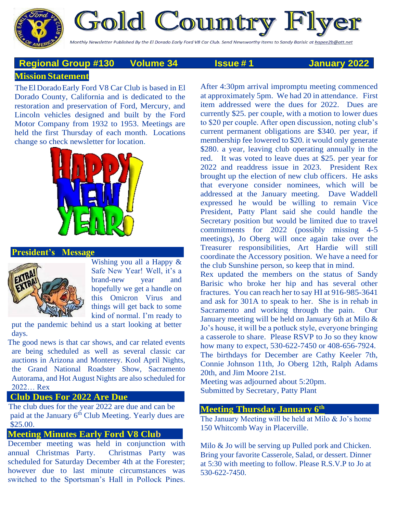Gold Country

Monthly Newsletter Published By the El Dorado Early Ford V8 Car Club. Send Newsworthy Items to Sandy Barisic at <u>hapee2b@att.net</u>

# **Mission Statement Regional Group #130 Volume 34 Issue # 1 January 2022**

## The El Dorado Early Ford V8 Car Club is based in El Dorado County, California and is dedicated to the restoration and preservation of Ford, Mercury, and Lincoln vehicles designed and built by the Ford Motor Company from 1932 to 1953. Meetings are held the first Thursday of each month. Locations change so check newsletter for location.



## **President's Message**



Wishing you all a Happy & Safe New Year! Well, it's a brand-new year and hopefully we get a handle on this Omicron Virus and things will get back to some kind of normal. I'm ready to

put the pandemic behind us a start looking at better days.

The good news is that car shows, and car related events are being scheduled as well as several classic car auctions in Arizona and Monterey. Kool April Nights, the Grand National Roadster Show, Sacramento Autorama, and Hot August Nights are also scheduled for 2022… Rex

## **Club Dues For 2022 Are Due**

The club dues for the year 2022 are due and can be paid at the January 6<sup>th</sup> Club Meeting. Yearly dues are \$25.00.

## **Meeting Minutes Early Ford V8 Club**

December meeting was held in conjunction with annual Christmas Party. Christmas Party was scheduled for Saturday December 4th at the Forester; however due to last minute circumstances was switched to the Sportsman's Hall in Pollock Pines.

After 4:30pm arrival impromptu meeting commenced at approximately 5pm. We had 20 in attendance. First item addressed were the dues for 2022. Dues are currently \$25. per couple, with a motion to lower dues to \$20 per couple. After open discussion, noting club's current permanent obligations are \$340. per year, if membership fee lowered to \$20. it would only generate \$280. a year, leaving club operating annually in the red. It was voted to leave dues at \$25. per year for 2022 and readdress issue in 2023. President Rex brought up the election of new club officers. He asks that everyone consider nominees, which will be addressed at the January meeting. Dave Waddell expressed he would be willing to remain Vice President, Patty Plant said she could handle the Secretary position but would be limited due to travel commitments for 2022 (possibly missing 4-5 meetings), Jo Oberg will once again take over the Treasurer responsibilities, Art Hardie will still coordinate the Accessory position. We have a need for the club Sunshine person, so keep that in mind.

Rex updated the members on the status of Sandy Barisic who broke her hip and has several other fractures. You can reach her to say HI at 916-985-3641 and ask for 301A to speak to her. She is in rehab in Sacramento and working through the pain. Our January meeting will be held on January 6th at Milo & Jo's house, it will be a potluck style, everyone bringing a casserole to share. Please RSVP to Jo so they know how many to expect, 530-622-7450 or 408-656-7924. The birthdays for December are Cathy Keeler 7th, Connie Johnson 11th, Jo Oberg 12th, Ralph Adams 20th, and Jim Moore 21st.

Meeting was adjourned about 5:20pm. Submitted by Secretary, Patty Plant

## **Meeting Thursday January 6th**

The January Meeting will be held at Milo & Jo's home 150 Whitcomb Way in Placerville.

Milo & Jo will be serving up Pulled pork and Chicken. Bring your favorite Casserole, Salad, or dessert. Dinner at 5:30 with meeting to follow. Please R.S.V.P to Jo at 530-622-7450.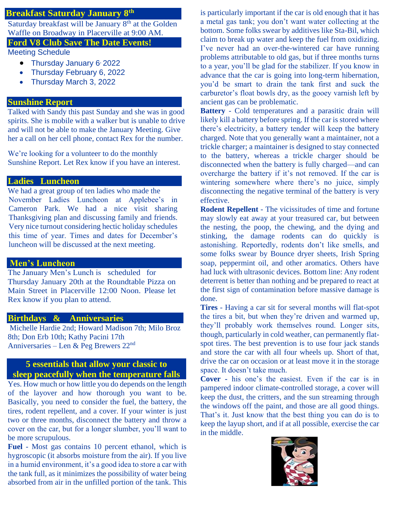# **Breakfast Saturday January 8th**

Saturday breakfast will be January 8<sup>th</sup> at the Golden Waffle on Broadway in Placerville at 9:00 AM.

## **Ford V8 Club Save The Date Events!**

Meeting Schedule

- Thursday January 6<sup>,</sup> 2022
- Thursday February 6, 2022
- Thursday March 3, 2022

#### **Sunshine Report**

Talked with Sandy this past Sunday and she was in good spirits. She is mobile with a walker but is unable to drive and will not be able to make the January Meeting. Give her a call on her cell phone, contact Rex for the number.

We're looking for a volunteer to do the monthly Sunshine Report. Let Rex know if you have an interest.

#### **Ladies Luncheon**

We had a great group of ten ladies who made the November Ladies Luncheon at Applebee's in Cameron Park. We had a nice visit sharing Thanksgiving plan and discussing family and friends. Very nice turnout considering hectic holiday schedules this time of year. Times and dates for December's luncheon will be discussed at the next meeting.

#### **Men's Luncheon**

The January Men's Lunch is scheduled for Thursday January 20th at the Roundtable Pizza on Main Street in Placerville 12:00 Noon. Please let Rex know if you plan to attend.

#### **Birthdays & Anniversaries**

Michelle Hardie 2nd; Howard Madison 7th; Milo Broz 8th; Don Erb 10th; Kathy Pacini 17th Anniversaries – Len & Peg Brewers 22nd

# **5 essentials that allow your classic to sleep peacefully when the temperature falls**

Yes. How much or how little you do depends on the length of the layover and how thorough you want to be. Basically, you need to consider the fuel, the battery, the tires, rodent repellent, and a cover. If your winter is just two or three months, disconnect the battery and throw a cover on the car, but for a longer slumber, you'll want to be more scrupulous.

**Fuel** - Most gas contains 10 percent ethanol, which is hygroscopic (it absorbs moisture from the air). If you live in a humid environment, it's a good idea to store a car with the tank full, as it minimizes the possibility of water being absorbed from air in the unfilled portion of the tank. This

is particularly important if the car is old enough that it has a metal gas tank; you don't want water collecting at the bottom. Some folks swear by additives like Sta-Bil, which claim to break up water and keep the fuel from oxidizing. I've never had an over-the-wintered car have running problems attributable to old gas, but if three months turns to a year, you'll be glad for the stabilizer. If you know in advance that the car is going into long-term hibernation, you'd be smart to drain the tank first and suck the carburetor's float bowls dry, as the gooey varnish left by ancient gas can be problematic.

**Battery** - Cold temperatures and a parasitic drain will likely kill a battery before spring. If the car is stored where there's electricity, a battery tender will keep the battery charged. Note that you generally want a maintainer, not a trickle charger; a maintainer is designed to stay connected to the battery, whereas a trickle charger should be disconnected when the battery is fully charged—and can overcharge the battery if it's not removed. If the car is wintering somewhere where there's no juice, simply disconnecting the negative terminal of the battery is very effective.

**Rodent Repellent** - The vicissitudes of time and fortune may slowly eat away at your treasured car, but between the nesting, the poop, the chewing, and the dying and stinking, the damage rodents can do quickly is astonishing. Reportedly, rodents don't like smells, and some folks swear by Bounce dryer sheets, Irish Spring soap, peppermint oil, and other aromatics. Others have had luck with ultrasonic devices. Bottom line: Any rodent deterrent is better than nothing and be prepared to react at the first sign of contamination before massive damage is done.

**Tires** - Having a car sit for several months will flat-spot the tires a bit, but when they're driven and warmed up, they'll probably work themselves round. Longer sits, though, particularly in cold weather, can permanently flatspot tires. The best prevention is to use four jack stands and store the car with all four wheels up. Short of that, drive the car on occasion or at least move it in the storage space. It doesn't take much.

**Cover -** his one's the easiest. Even if the car is in pampered indoor climate-controlled storage, a cover will keep the dust, the critters, and the sun streaming through the windows off the paint, and those are all good things. That's it. Just know that the best thing you can do is to keep the layup short, and if at all possible, exercise the car in the middle.

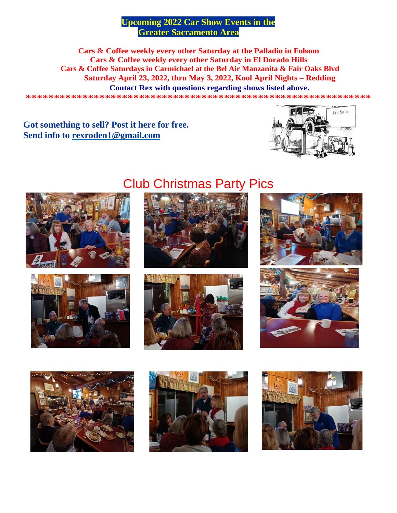# **Upcoming 2022 Car Show Events in the Greater Sacramento Area**

Cars & Coffee weekly every other Saturday at the Palladio in Folsom Cars & Coffee weekly every other Saturday in El Dorado Hills Cars & Coffee Saturdays in Carmichael at the Bel Air Manzanita & Fair Oaks Blyd Saturday April 23, 2022, thru May 3, 2022, Kool April Nights - Redding

**Contact Rex with questions regarding shows listed above.** 

# Got something to sell? Post it here for free. Send info to rexroden1@gmail.com







# **Club Christmas Party Pics**